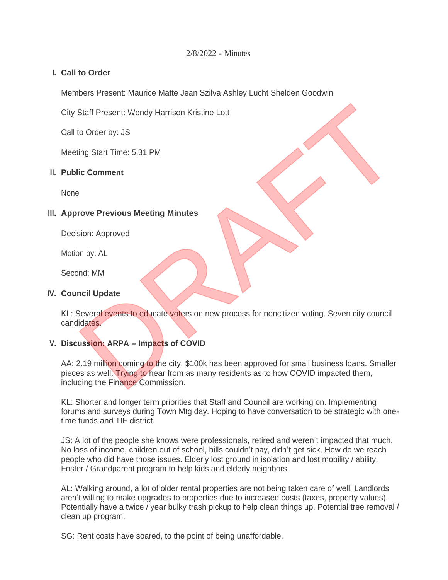## **Call to Order I.**

Members Present: Maurice Matte Jean Szilva Ashley Lucht Shelden Goodwin

City Staff Present: Wendy Harrison Kristine Lott

Call to Order by: JS

Meeting Start Time: 5:31 PM

### **Public Comment II.**

None

# **Approve Previous Meeting Minutes III.**

Decision: Approved

Motion by: AL

Second: MM

### **Council Update IV.**

KL: Several events to educate voters on new process for noncitizen voting. Seven city council candidates.

# **Discussion: ARPA – Impacts of COVID V.**

AA: 2.19 million coming to the city. \$100k has been approved for small business loans. Smaller pieces as well. Trying to hear from as many residents as to how COVID impacted them, including the Finance Commission. Staff Present: Wendy Harrison Kristine Lott<br>to Order by: JS<br>ling Start Time: 5:31 PM<br>aic Comment<br>and the Start Time: 5:31 PM<br>prove Previous Meeting Minutes<br>bion: Approved<br>by: AL<br>mail Update<br>everal events to educate volets

KL: Shorter and longer term priorities that Staff and Council are working on. Implementing forums and surveys during Town Mtg day. Hoping to have conversation to be strategic with onetime funds and TIF district.

JS: A lot of the people she knows were professionals, retired and weren't impacted that much. No loss of income, children out of school, bills couldn't pay, didn't get sick. How do we reach people who did have those issues. Elderly lost ground in isolation and lost mobility / ability. Foster / Grandparent program to help kids and elderly neighbors.

AL: Walking around, a lot of older rental properties are not being taken care of well. Landlords aren't willing to make upgrades to properties due to increased costs (taxes, property values). Potentially have a twice / year bulky trash pickup to help clean things up. Potential tree removal / clean up program.

SG: Rent costs have soared, to the point of being unaffordable.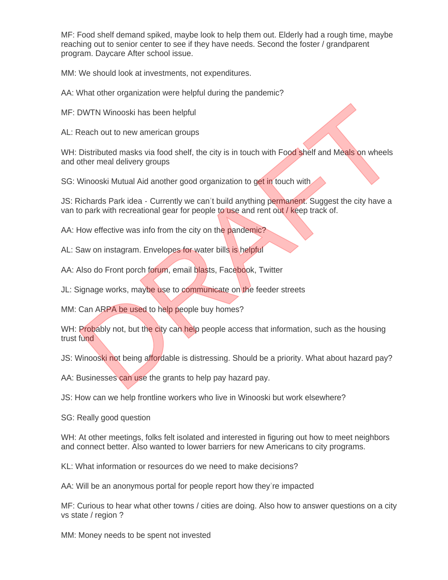MF: Food shelf demand spiked, maybe look to help them out. Elderly had a rough time, maybe reaching out to senior center to see if they have needs. Second the foster / grandparent program. Daycare After school issue.

MM: We should look at investments, not expenditures.

AA: What other organization were helpful during the pandemic?

MF: DWTN Winooski has been helpful

AL: Reach out to new american groups

WH: Distributed masks via food shelf, the city is in touch with Food shelf and Meals on wheels and other meal delivery groups DWTN Winooski has been helpful<br>
Neach out to new american groups<br>
Distributed masks via food shelf, the city is in touch with Food shelf and Meals on wheels<br>
Distributed masks via food shelf, the city is in touch with<br>
Not

SG: Winooski Mutual Aid another good organization to get in touch with

JS: Richards Park idea - Currently we can't build anything permanent. Suggest the city have a van to park with recreational gear for people to use and rent out / keep track of.

AA: How effective was info from the city on the pandemic?

AL: Saw on instagram. Envelopes for water bills is helpful

AA: Also do Front porch forum, email blasts, Facebook, Twitter

JL: Signage works, maybe use to communicate on the feeder streets

MM: Can ARPA be used to help people buy homes?

WH: Probably not, but the city can help people access that information, such as the housing trust fund

JS: Winooski not being affordable is distressing. Should be a priority. What about hazard pay?

AA: Businesses can use the grants to help pay hazard pay.

JS: How can we help frontline workers who live in Winooski but work elsewhere?

SG: Really good question

WH: At other meetings, folks felt isolated and interested in figuring out how to meet neighbors and connect better. Also wanted to lower barriers for new Americans to city programs.

KL: What information or resources do we need to make decisions?

AA: Will be an anonymous portal for people report how they're impacted

MF: Curious to hear what other towns / cities are doing. Also how to answer questions on a city vs state / region ?

MM: Money needs to be spent not invested